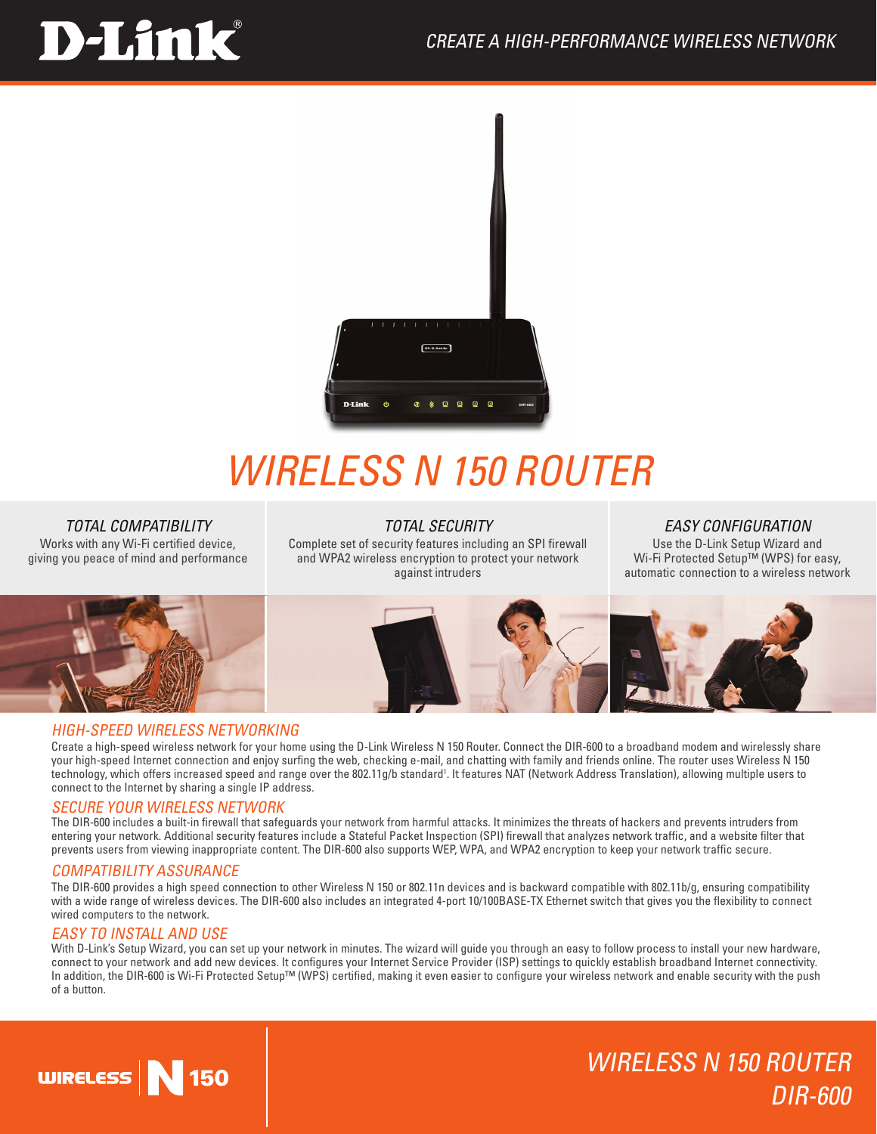# **D-Link**



## *Wireless N 150 Router*

## *TOTAL COMPATIBILITY*

Works with any Wi-Fi certified device, giving you peace of mind and performance

## *TOTAL SECURITY*

Complete set of security features including an SPI firewall and WPA2 wireless encryption to protect your network against intruders

## *EASY CONFIGURATION*

Use the D-Link Setup Wizard and Wi-Fi Protected Setup™ (WPS) for easy, automatic connection to a wireless network

WIRELESS N 150 ROUTER

DIR-600



## HIGH-SPEED Wireless NETWORKING

Create a high-speed wireless network for your home using the D-Link Wireless N 150 Router. Connect the DIR-600 to a broadband modem and wirelessly share your high-speed Internet connection and enjoy surfing the web, checking e-mail, and chatting with family and friends online. The router uses Wireless N 150 technology, which offers increased speed and range over the 802.11g/b standard'. It features NAT (Network Address Translation), allowing multiple users to connect to the Internet by sharing a single IP address.

## SECURE YOUR WIRELESS NETWORK

The DIR-600 includes a built-in firewall that safeguards your network from harmful attacks. It minimizes the threats of hackers and prevents intruders from entering your network. Additional security features include a Stateful Packet Inspection (SPI) firewall that analyzes network traffic, and a website filter that prevents users from viewing inappropriate content. The DIR-600 also supports WEP, WPA, and WPA2 encryption to keep your network traffic secure.

## COMPATIBILITY ASSURANCE

The DIR-600 provides a high speed connection to other Wireless N 150 or 802.11n devices and is backward compatible with 802.11b/g, ensuring compatibility with a wide range of wireless devices. The DIR-600 also includes an integrated 4-port 10/100BASE-TX Ethernet switch that gives you the flexibility to connect wired computers to the network.

## EASY TO INSTALL AND USE

With D-Link's Setup Wizard, you can set up your network in minutes. The wizard will guide you through an easy to follow process to install your new hardware, connect to your network and add new devices. It configures your Internet Service Provider (ISP) settings to quickly establish broadband Internet connectivity. In addition, the DIR-600 is Wi-Fi Protected Setup™ (WPS) certified, making it even easier to configure your wireless network and enable security with the push of a button.